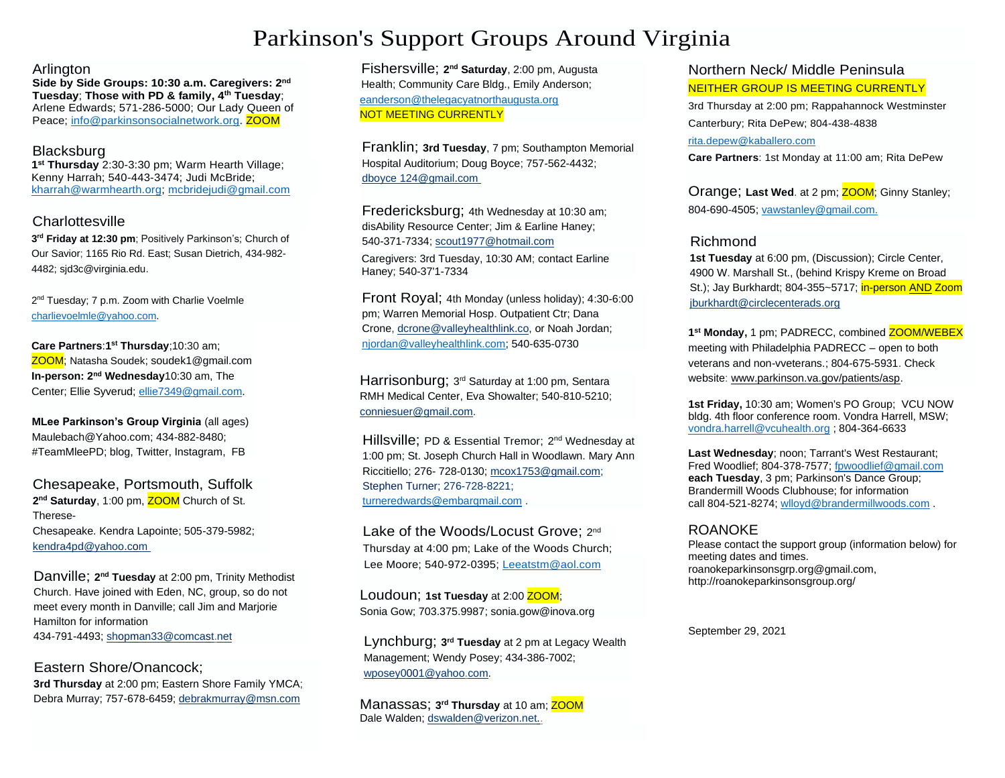# Parkinson's Support Groups Around Virginia

### **Arlington**

**Side by Side Groups: 10:30 a.m. Caregivers: 2 nd Tuesday**; **Those with PD & family, 4th Tuesday**; Arlene Edwards; 571-286-5000; Our Lady Queen of Peace; [info@parkinsonsocialnetwork.org.](mailto:info@parkinsonsocialnetwork.org) ZOOM

## Blacksburg

**1 st Thursday** 2:30-3:30 pm; Warm Hearth Village; Kenny Harrah; 540-443-3474; Judi McBride; [kharrah@warmhearth.org;](mailto:kharrah@warmhearth.org) [mcbridejudi@gmail.com](mailto:mcbridejudi@gmail.com)

# Charlottesville

**3 rd Friday at 12:30 pm**; Positively Parkinson's; Church of Our Savior; 1165 Rio Rd. East; Susan Dietrich, 434-982- 4482; sjd3c@virginia.edu.

2<sup>nd</sup> Tuesday; 7 p.m. Zoom with Charlie Voelmle [charlievoelmle@yahoo.com.](mailto:charlievoelmle@yahoo.com)

**Care Partners**:**1 st Thursday**;10:30 am; ZOOM; Natasha Soudek; soudek1@gmail.com **In-person: 2<sup>nd</sup> Wednesday**10:30 am, The Center; Ellie Syverud[; ellie7349@gmail.com.](mailto:ellie7349@gmail.com)

**MLee Parkinson's Group Virginia** (all ages) Maulebach@Yahoo.com; 434-882-8480; #TeamMleePD; blog, Twitter, Instagram, FB

Chesapeake, Portsmouth, Suffolk **2 nd Saturday**, 1:00 pm, ZOOM Church of St. Therese-Chesapeake. Kendra Lapointe; 505-379-5982; [kendra4pd@yahoo.com](mailto:kendra4pd@yahoo.com)

Danville; 2<sup>nd</sup> Tuesday at 2:00 pm, Trinity Methodist Church. Have joined with Eden, NC, group, so do not meet every month in Danville; call Jim and Marjorie Hamilton for information 434-791-4493; [shopman33@comcast.net](mailto:shopman33@comcast.net)

Eastern Shore/Onancock; **3rd Thursday** at 2:00 pm; Eastern Shore Family YMCA; Debra Murray; 757-678-6459; [debrakmurray@msn.com](mailto:debrakmurray@msn.com)

Fishersville; 2<sup>nd</sup> Saturday, 2:00 pm, Augusta Health; Community Care Bldg., Emily Anderson; [eanderson@thelegacyatnorthaugusta.org](mailto:eanderson@thelegacyatnorthaugusta.org) NOT MEETING CURRENTLY

Franklin; **3rd Tuesday**, 7 pm; Southampton Memorial Hospital Auditorium; Doug Boyce; 757-562-4432; dboyce [124@gmail.com](mailto:124@gmail.com)

Fredericksburg; 4th Wednesday at 10:30 am; disAbility Resource Center; Jim & Earline Haney; 540-371-7334; [scout1977@hotmail.com](mailto:scout1977@hotmail.com) Caregivers: 3rd Tuesday, 10:30 AM; contact Earline Haney; 540-37'1-7334

Front Royal; 4th Monday (unless holiday); 4:30-6:00 pm; Warren Memorial Hosp. Outpatient Ctr; Dana Crone, [dcrone@valleyhealthlink.co,](mailto:dcrone@valleyhealthlink.co) or Noah Jordan; [njordan@valleyhealthlink.com;](mailto:njordan@valleyhealthlink.com) 540-635-0730

Harrisonburg; 3<sup>rd</sup> Saturday at 1:00 pm, Sentara RMH Medical Center, Eva Showalter; 540-810-5210; [conniesuer@gmail.com.](mailto:conniesuer@gmail.com.)

Hillsville; PD & Essential Tremor; 2<sup>nd</sup> Wednesday at 1:00 pm; St. Joseph Church Hall in Woodlawn. Mary Ann Riccitiello; 276- 728-0130[; mcox1753@gmail.com;](mailto:mcox1753@gmail.com) Stephen Turner; 276-728-8221; [turneredwards@embarqmail.com](mailto:turneredwards@embarqmail.com).

Lake of the Woods/Locust Grove; 2nd Thursday at 4:00 pm; Lake of the Woods Church; Lee Moore; 540-972-0395; [Leeatstm@aol.com](mailto:Leeatstm@aol.com)

Loudoun; **1st Tuesday** at 2:00 ZOOM; Sonia Gow; 703.375.9987; sonia.gow@inova.org

Lynchburg; **3 rd Tuesday** at 2 pm at Legacy Wealth Management; Wendy Posey; 434-386-7002; [wposey0001@yahoo.com.](mailto:wposey0001@yahoo.com.)

 $M$ anassas; 3<sup>rd</sup> Thursday at 10 am; <mark>ZOOM</mark> Dale Walden; [dswalden@verizon.net..](mailto:dswalden@verizon.net..)

# Northern Neck/ Middle Peninsula NEITHER GROUP IS MEETING CURRENTLY

3rd Thursday at 2:00 pm; Rappahannock Westminster Canterbury; Rita DePew; 804-438-4838 [rita.depew@kaballero.com](mailto:rita.depew@kaballero.com)

**Care Partners**: 1st Monday at 11:00 am; Rita DePew

Orange; Last Wed. at 2 pm; **ZOOM**; Ginny Stanley; 804-690-4505; [vawstanley@gmail.com.](mailto:vawstanley@gmail.com.)

# Richmond

**1st Tuesday** at 6:00 pm, (Discussion); Circle Center, 4900 W. Marshall St., (behind Krispy Kreme on Broad St.); Jay Burkhardt; 804-355~5717; in-person AND Zoom [jburkhardt@circlecenterads.org](mailto:jburkhardt@circlecenterads.org) 

**1 st Monday,** 1 pm; PADRECC, combined ZOOM/WEBEX meeting with Philadelphia PADRECC – open to both veterans and non-vveterans.; 804-675-5931. Check website: www.parkinson.va.gov/patients/asp.

**1st Friday,** 10:30 am; Women's PO Group; VCU NOW bldg. 4th floor conference room. Vondra Harrell, MSW; [vondra.harrell@vcuhealth.org](mailto:vondra.harrell@vcuhealth.org) ; 804-364-6633

**Last Wednesday**; noon; Tarrant's West Restaurant; Fred Woodlief; 804-378-7577[; fpwoodlief@gmail.com](mailto:fpwoodlief@gmail.com) **each Tuesday**, 3 pm; Parkinson's Dance Group; Brandermill Woods Clubhouse; for information call 804-521-8274; [wlloyd@brandermillwoods.com](mailto:wlloyd@brandermillwoods.com) .

# ROANOKE

Please contact the support group (information below) for meeting dates and times. roanokeparkinsonsgrp.org@gmail.com, http://roanokeparkinsonsgroup.org/

September 29, 2021